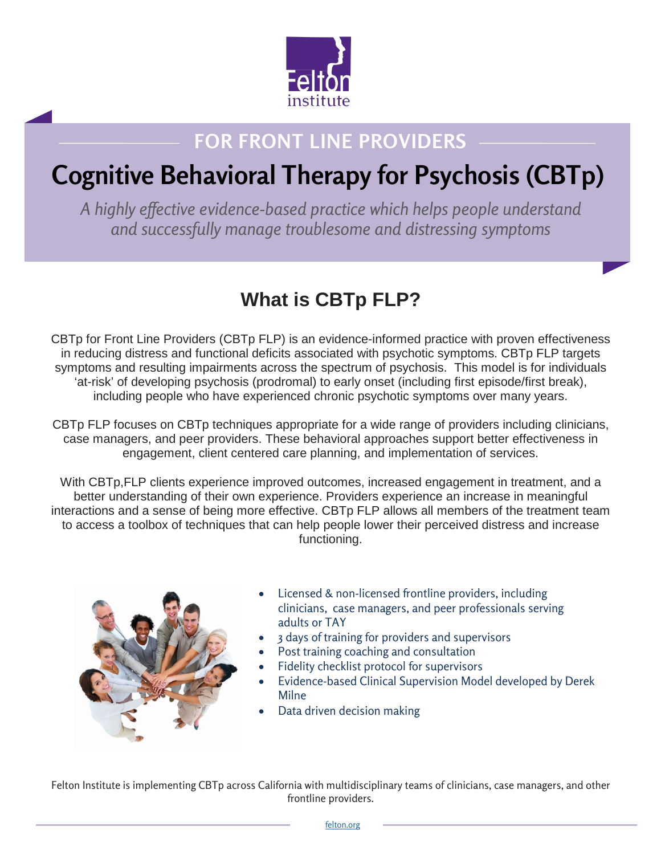

## **FOR FRONT LINE PROVIDERS**

# **Cognitive Behavioral Therapy for Psychosis (CBTp)**

*A highly effective evidence-based practice which helps people understand and successfully manage troublesome and distressing symptoms*

## **What is CBTp FLP?**

CBTp for Front Line Providers (CBTp FLP) is an evidence-informed practice with proven effectiveness in reducing distress and functional deficits associated with psychotic symptoms. CBTp FLP targets symptoms and resulting impairments across the spectrum of psychosis. This model is for individuals 'at-risk' of developing psychosis (prodromal) to early onset (including first episode/first break), including people who have experienced chronic psychotic symptoms over many years.

CBTp FLP focuses on CBTp techniques appropriate for a wide range of providers including clinicians, case managers, and peer providers. These behavioral approaches support better effectiveness in engagement, client centered care planning, and implementation of services.

With CBTp, FLP clients experience improved outcomes, increased engagement in treatment, and a better understanding of their own experience. Providers experience an increase in meaningful interactions and a sense of being more effective. CBTp FLP allows all members of the treatment team to access a toolbox of techniques that can help people lower their perceived distress and increase functioning.



- Licensed & non-licensed frontline providers, including clinicians, case managers, and peer professionals serving adults or TAY
- 3 days of training for providers and supervisors
- Post training coaching and consultation
- Fidelity checklist protocol for supervisors
- Evidence-based Clinical Supervision Model developed by Derek Milne
- Data driven decision making

Felton Institute is implementing CBTp across California with multidisciplinary teams of clinicians, case managers, and other frontline providers.